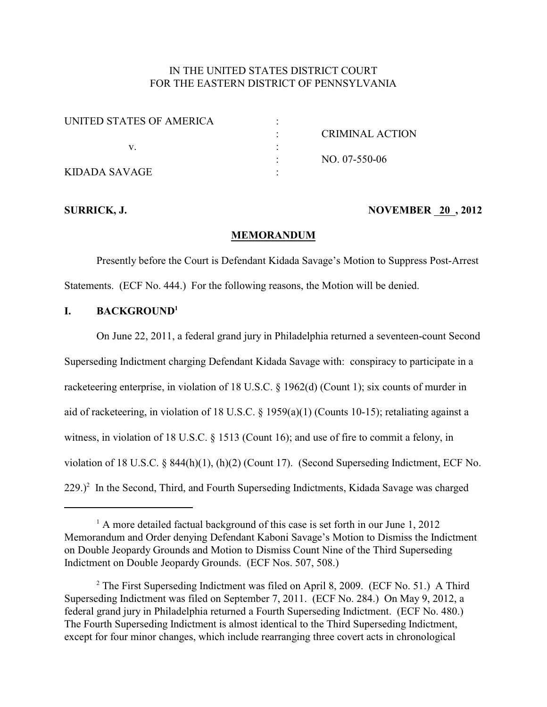# IN THE UNITED STATES DISTRICT COURT FOR THE EASTERN DISTRICT OF PENNSYLVANIA

| UNITED STATES OF AMERICA |                        |
|--------------------------|------------------------|
|                          | <b>CRIMINAL ACTION</b> |
|                          |                        |
|                          | $NO. 07-550-06$        |
| KIDADA SAVAGE            |                        |

## **SURRICK, J. NOVEMBER 20, 2012**

#### **MEMORANDUM**

Presently before the Court is Defendant Kidada Savage's Motion to Suppress Post-Arrest Statements. (ECF No. 444.) For the following reasons, the Motion will be denied.

## **I. BACKGROUND<sup>1</sup>**

On June 22, 2011, a federal grand jury in Philadelphia returned a seventeen-count Second Superseding Indictment charging Defendant Kidada Savage with: conspiracy to participate in a racketeering enterprise, in violation of 18 U.S.C. § 1962(d) (Count 1); six counts of murder in aid of racketeering, in violation of 18 U.S.C. § 1959(a)(1) (Counts 10-15); retaliating against a witness, in violation of 18 U.S.C. § 1513 (Count 16); and use of fire to commit a felony, in violation of 18 U.S.C. § 844(h)(1), (h)(2) (Count 17). (Second Superseding Indictment, ECF No.  $229.$ <sup>2</sup> In the Second, Third, and Fourth Superseding Indictments, Kidada Savage was charged

 $^1$  A more detailed factual background of this case is set forth in our June 1, 2012 Memorandum and Order denying Defendant Kaboni Savage's Motion to Dismiss the Indictment on Double Jeopardy Grounds and Motion to Dismiss Count Nine of the Third Superseding Indictment on Double Jeopardy Grounds. (ECF Nos. 507, 508.)

 $2$  The First Superseding Indictment was filed on April 8, 2009. (ECF No. 51.) A Third Superseding Indictment was filed on September 7, 2011. (ECF No. 284.) On May 9, 2012, a federal grand jury in Philadelphia returned a Fourth Superseding Indictment. (ECF No. 480.) The Fourth Superseding Indictment is almost identical to the Third Superseding Indictment, except for four minor changes, which include rearranging three covert acts in chronological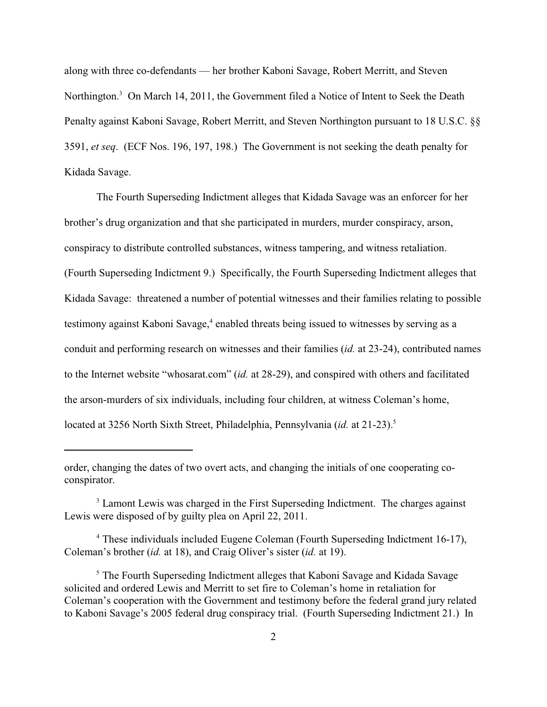along with three co-defendants — her brother Kaboni Savage, Robert Merritt, and Steven Northington.<sup>3</sup> On March 14, 2011, the Government filed a Notice of Intent to Seek the Death Penalty against Kaboni Savage, Robert Merritt, and Steven Northington pursuant to 18 U.S.C. §§ 3591, *et seq*. (ECF Nos. 196, 197, 198.) The Government is not seeking the death penalty for Kidada Savage.

The Fourth Superseding Indictment alleges that Kidada Savage was an enforcer for her brother's drug organization and that she participated in murders, murder conspiracy, arson, conspiracy to distribute controlled substances, witness tampering, and witness retaliation. (Fourth Superseding Indictment 9.) Specifically, the Fourth Superseding Indictment alleges that Kidada Savage: threatened a number of potential witnesses and their families relating to possible testimony against Kaboni Savage,<sup>4</sup> enabled threats being issued to witnesses by serving as a conduit and performing research on witnesses and their families (*id.* at 23-24), contributed names to the Internet website "whosarat.com" (*id.* at 28-29), and conspired with others and facilitated the arson-murders of six individuals, including four children, at witness Coleman's home, located at 3256 North Sixth Street, Philadelphia, Pennsylvania (*id.* at 21-23).<sup>5</sup>

order, changing the dates of two overt acts, and changing the initials of one cooperating coconspirator.

<sup>&</sup>lt;sup>3</sup> Lamont Lewis was charged in the First Superseding Indictment. The charges against Lewis were disposed of by guilty plea on April 22, 2011.

<sup>&</sup>lt;sup>4</sup> These individuals included Eugene Coleman (Fourth Superseding Indictment 16-17), Coleman's brother (*id.* at 18), and Craig Oliver's sister (*id.* at 19).

<sup>&</sup>lt;sup>5</sup> The Fourth Superseding Indictment alleges that Kaboni Savage and Kidada Savage solicited and ordered Lewis and Merritt to set fire to Coleman's home in retaliation for Coleman's cooperation with the Government and testimony before the federal grand jury related to Kaboni Savage's 2005 federal drug conspiracy trial. (Fourth Superseding Indictment 21.) In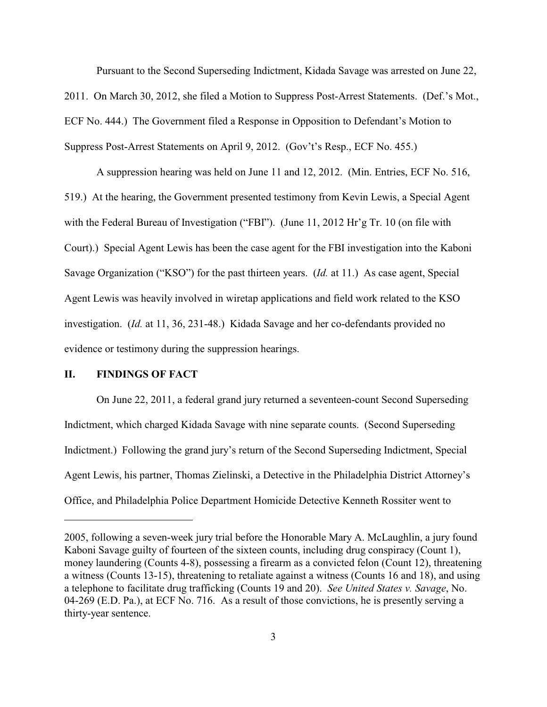Pursuant to the Second Superseding Indictment, Kidada Savage was arrested on June 22, 2011. On March 30, 2012, she filed a Motion to Suppress Post-Arrest Statements. (Def.'s Mot., ECF No. 444.) The Government filed a Response in Opposition to Defendant's Motion to Suppress Post-Arrest Statements on April 9, 2012. (Gov't's Resp., ECF No. 455.)

A suppression hearing was held on June 11 and 12, 2012. (Min. Entries, ECF No. 516, 519.) At the hearing, the Government presented testimony from Kevin Lewis, a Special Agent with the Federal Bureau of Investigation ("FBI"). (June 11, 2012 Hr'g Tr. 10 (on file with Court).) Special Agent Lewis has been the case agent for the FBI investigation into the Kaboni Savage Organization ("KSO") for the past thirteen years. (*Id.* at 11.) As case agent, Special Agent Lewis was heavily involved in wiretap applications and field work related to the KSO investigation. (*Id.* at 11, 36, 231-48.) Kidada Savage and her co-defendants provided no evidence or testimony during the suppression hearings.

## **II. FINDINGS OF FACT**

On June 22, 2011, a federal grand jury returned a seventeen-count Second Superseding Indictment, which charged Kidada Savage with nine separate counts. (Second Superseding Indictment.) Following the grand jury's return of the Second Superseding Indictment, Special Agent Lewis, his partner, Thomas Zielinski, a Detective in the Philadelphia District Attorney's Office, and Philadelphia Police Department Homicide Detective Kenneth Rossiter went to

<sup>2005,</sup> following a seven-week jury trial before the Honorable Mary A. McLaughlin, a jury found Kaboni Savage guilty of fourteen of the sixteen counts, including drug conspiracy (Count 1), money laundering (Counts 4-8), possessing a firearm as a convicted felon (Count 12), threatening a witness (Counts 13-15), threatening to retaliate against a witness (Counts 16 and 18), and using a telephone to facilitate drug trafficking (Counts 19 and 20). *See United States v. Savage*, No. 04-269 (E.D. Pa.), at ECF No. 716. As a result of those convictions, he is presently serving a thirty-year sentence.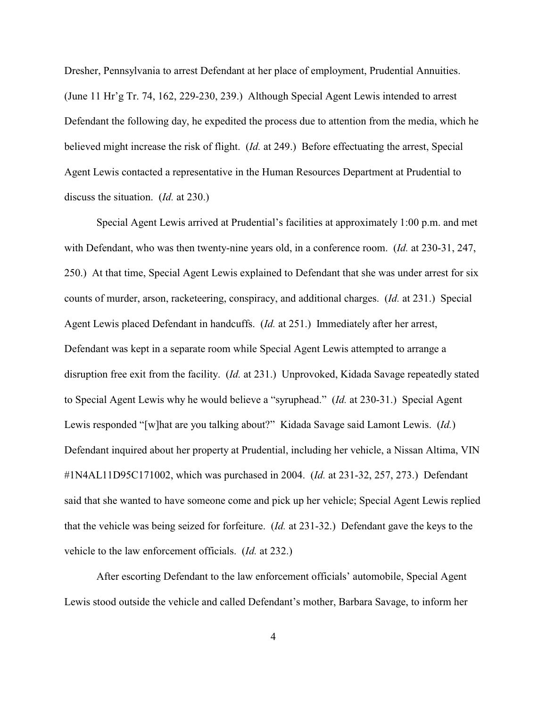Dresher, Pennsylvania to arrest Defendant at her place of employment, Prudential Annuities. (June 11 Hr'g Tr. 74, 162, 229-230, 239.) Although Special Agent Lewis intended to arrest Defendant the following day, he expedited the process due to attention from the media, which he believed might increase the risk of flight. (*Id.* at 249.) Before effectuating the arrest, Special Agent Lewis contacted a representative in the Human Resources Department at Prudential to discuss the situation. (*Id.* at 230.)

Special Agent Lewis arrived at Prudential's facilities at approximately 1:00 p.m. and met with Defendant, who was then twenty-nine years old, in a conference room. (*Id.* at 230-31, 247, 250.) At that time, Special Agent Lewis explained to Defendant that she was under arrest for six counts of murder, arson, racketeering, conspiracy, and additional charges. (*Id.* at 231.) Special Agent Lewis placed Defendant in handcuffs. (*Id.* at 251.) Immediately after her arrest, Defendant was kept in a separate room while Special Agent Lewis attempted to arrange a disruption free exit from the facility. (*Id.* at 231.) Unprovoked, Kidada Savage repeatedly stated to Special Agent Lewis why he would believe a "syruphead." (*Id.* at 230-31.) Special Agent Lewis responded "[w]hat are you talking about?" Kidada Savage said Lamont Lewis. (*Id.*) Defendant inquired about her property at Prudential, including her vehicle, a Nissan Altima, VIN #1N4AL11D95C171002, which was purchased in 2004. (*Id.* at 231-32, 257, 273.) Defendant said that she wanted to have someone come and pick up her vehicle; Special Agent Lewis replied that the vehicle was being seized for forfeiture. (*Id.* at 231-32.) Defendant gave the keys to the vehicle to the law enforcement officials. (*Id.* at 232.)

After escorting Defendant to the law enforcement officials' automobile, Special Agent Lewis stood outside the vehicle and called Defendant's mother, Barbara Savage, to inform her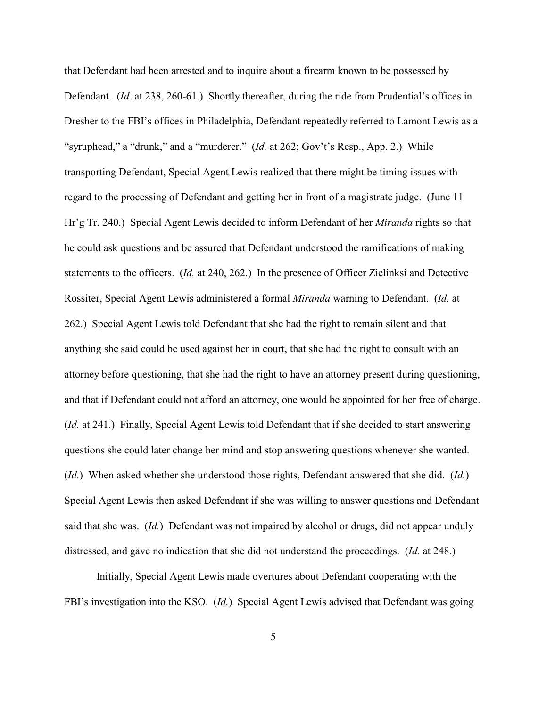that Defendant had been arrested and to inquire about a firearm known to be possessed by Defendant. (*Id.* at 238, 260-61.) Shortly thereafter, during the ride from Prudential's offices in Dresher to the FBI's offices in Philadelphia, Defendant repeatedly referred to Lamont Lewis as a "syruphead," a "drunk," and a "murderer." (*Id.* at 262; Gov't's Resp., App. 2.) While transporting Defendant, Special Agent Lewis realized that there might be timing issues with regard to the processing of Defendant and getting her in front of a magistrate judge. (June 11 Hr'g Tr. 240.) Special Agent Lewis decided to inform Defendant of her *Miranda* rights so that he could ask questions and be assured that Defendant understood the ramifications of making statements to the officers. (*Id.* at 240, 262.) In the presence of Officer Zielinksi and Detective Rossiter, Special Agent Lewis administered a formal *Miranda* warning to Defendant. (*Id.* at 262.) Special Agent Lewis told Defendant that she had the right to remain silent and that anything she said could be used against her in court, that she had the right to consult with an attorney before questioning, that she had the right to have an attorney present during questioning, and that if Defendant could not afford an attorney, one would be appointed for her free of charge. (*Id.* at 241.) Finally, Special Agent Lewis told Defendant that if she decided to start answering questions she could later change her mind and stop answering questions whenever she wanted. (*Id.*) When asked whether she understood those rights, Defendant answered that she did. (*Id.*) Special Agent Lewis then asked Defendant if she was willing to answer questions and Defendant said that she was. (*Id.*) Defendant was not impaired by alcohol or drugs, did not appear unduly distressed, and gave no indication that she did not understand the proceedings. (*Id.* at 248.)

Initially, Special Agent Lewis made overtures about Defendant cooperating with the FBI's investigation into the KSO. (*Id.*) Special Agent Lewis advised that Defendant was going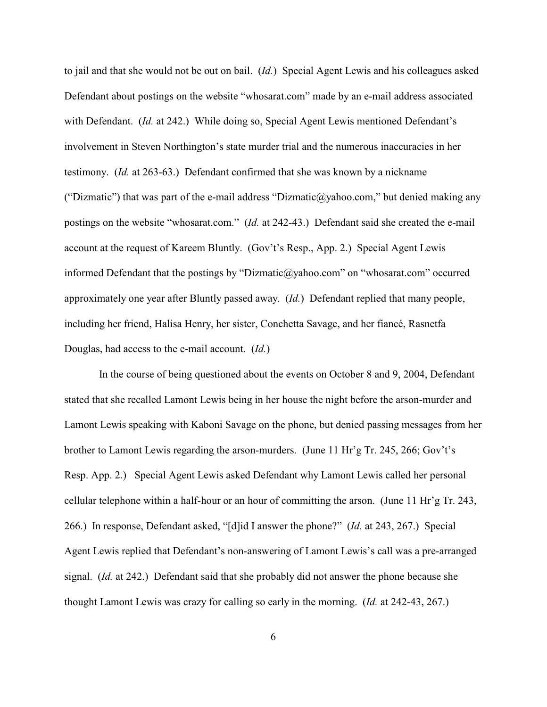to jail and that she would not be out on bail. (*Id.*) Special Agent Lewis and his colleagues asked Defendant about postings on the website "whosarat.com" made by an e-mail address associated with Defendant. (*Id.* at 242.) While doing so, Special Agent Lewis mentioned Defendant's involvement in Steven Northington's state murder trial and the numerous inaccuracies in her testimony. (*Id.* at 263-63.) Defendant confirmed that she was known by a nickname ("Dizmatic") that was part of the e-mail address ["Dizmatic@yahoo.com,"](mailto:�Dizmatic@yahoo.com�) but denied making any postings on the website "whosarat.com." (*Id.* at 242-43.) Defendant said she created the e-mail account at the request of Kareem Bluntly. (Gov't's Resp., App. 2.) Special Agent Lewis informed Defendant that the postings by ["Dizmatic@yahoo.com"](mailto:�Dizmatic@yahoo.com�) on "whosarat.com" occurred approximately one year after Bluntly passed away. (*Id.*) Defendant replied that many people, including her friend, Halisa Henry, her sister, Conchetta Savage, and her fiancé, Rasnetfa Douglas, had access to the e-mail account. (*Id.*)

 In the course of being questioned about the events on October 8 and 9, 2004, Defendant stated that she recalled Lamont Lewis being in her house the night before the arson-murder and Lamont Lewis speaking with Kaboni Savage on the phone, but denied passing messages from her brother to Lamont Lewis regarding the arson-murders. (June 11 Hr'g Tr. 245, 266; Gov't's Resp. App. 2.) Special Agent Lewis asked Defendant why Lamont Lewis called her personal cellular telephone within a half-hour or an hour of committing the arson. (June 11 Hr'g Tr. 243, 266.) In response, Defendant asked, "[d]id I answer the phone?" (*Id.* at 243, 267.) Special Agent Lewis replied that Defendant's non-answering of Lamont Lewis's call was a pre-arranged signal. (*Id.* at 242.) Defendant said that she probably did not answer the phone because she thought Lamont Lewis was crazy for calling so early in the morning. (*Id.* at 242-43, 267.)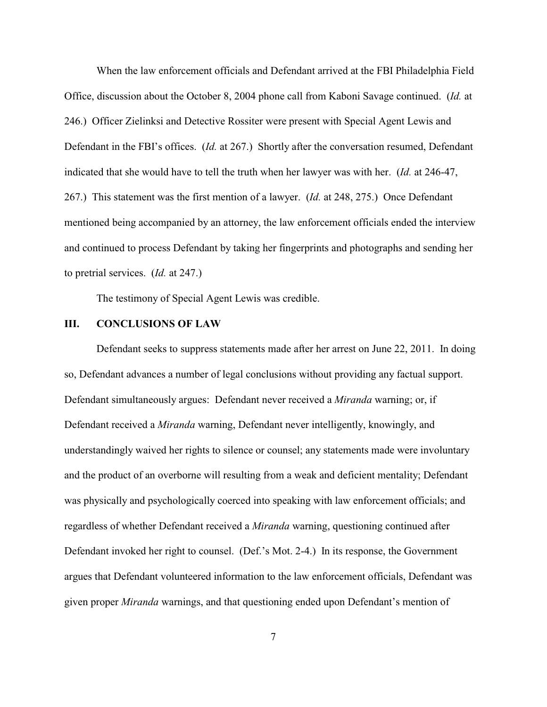When the law enforcement officials and Defendant arrived at the FBI Philadelphia Field Office, discussion about the October 8, 2004 phone call from Kaboni Savage continued. (*Id.* at 246.) Officer Zielinksi and Detective Rossiter were present with Special Agent Lewis and Defendant in the FBI's offices. (*Id.* at 267.) Shortly after the conversation resumed, Defendant indicated that she would have to tell the truth when her lawyer was with her. (*Id.* at 246-47, 267.) This statement was the first mention of a lawyer. (*Id.* at 248, 275.) Once Defendant mentioned being accompanied by an attorney, the law enforcement officials ended the interview and continued to process Defendant by taking her fingerprints and photographs and sending her to pretrial services. (*Id.* at 247.)

The testimony of Special Agent Lewis was credible.

#### **III. CONCLUSIONS OF LAW**

Defendant seeks to suppress statements made after her arrest on June 22, 2011. In doing so, Defendant advances a number of legal conclusions without providing any factual support. Defendant simultaneously argues: Defendant never received a *Miranda* warning; or, if Defendant received a *Miranda* warning, Defendant never intelligently, knowingly, and understandingly waived her rights to silence or counsel; any statements made were involuntary and the product of an overborne will resulting from a weak and deficient mentality; Defendant was physically and psychologically coerced into speaking with law enforcement officials; and regardless of whether Defendant received a *Miranda* warning, questioning continued after Defendant invoked her right to counsel. (Def.'s Mot. 2-4.) In its response, the Government argues that Defendant volunteered information to the law enforcement officials, Defendant was given proper *Miranda* warnings, and that questioning ended upon Defendant's mention of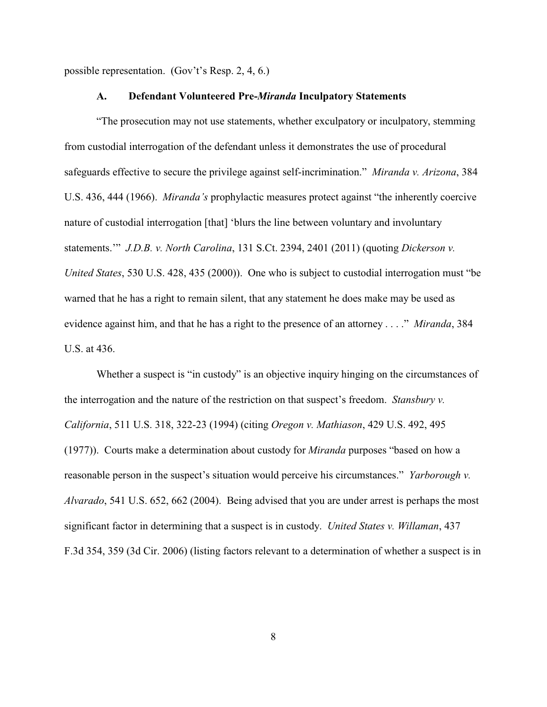possible representation. (Gov't's Resp. 2, 4, 6.)

#### **A. Defendant Volunteered Pre-***Miranda* **Inculpatory Statements**

"The prosecution may not use statements, whether exculpatory or inculpatory, stemming from custodial interrogation of the defendant unless it demonstrates the use of procedural safeguards effective to secure the privilege against self-incrimination." *Miranda v. Arizona*, 384 U.S. 436, 444 (1966). *Miranda's* prophylactic measures protect against "the inherently coercive nature of custodial interrogation [that] 'blurs the line between voluntary and involuntary statements.'" *J.D.B. v. North Carolina*, 131 S.Ct. 2394, 2401 (2011) (quoting *Dickerson v. United States*, 530 U.S. 428, 435 (2000)). One who is subject to custodial interrogation must "be warned that he has a right to remain silent, that any statement he does make may be used as evidence against him, and that he has a right to the presence of an attorney . . . ." *Miranda*, 384 U.S. at 436.

Whether a suspect is "in custody" is an objective inquiry hinging on the circumstances of the interrogation and the nature of the restriction on that suspect's freedom. *Stansbury v. California*, 511 U.S. 318, 322-23 (1994) (citing *Oregon v. Mathiason*, 429 U.S. 492, 495 (1977)). Courts make a determination about custody for *Miranda* purposes "based on how a reasonable person in the suspect's situation would perceive his circumstances." *Yarborough v. Alvarado*, 541 U.S. 652, 662 (2004). Being advised that you are under arrest is perhaps the most significant factor in determining that a suspect is in custody. *United States v. Willaman*, 437 F.3d 354, 359 (3d Cir. 2006) (listing factors relevant to a determination of whether a suspect is in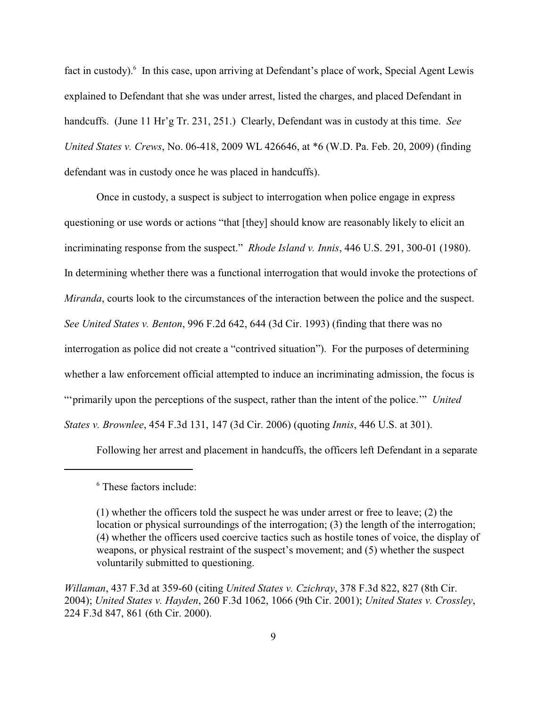fact in custody). In this case, upon arriving at Defendant's place of work, Special Agent Lewis explained to Defendant that she was under arrest, listed the charges, and placed Defendant in handcuffs. (June 11 Hr'g Tr. 231, 251.) Clearly, Defendant was in custody at this time. *See United States v. Crews*, No. 06-418, 2009 WL 426646, at \*6 (W.D. Pa. Feb. 20, 2009) (finding defendant was in custody once he was placed in handcuffs).

Once in custody, a suspect is subject to interrogation when police engage in express questioning or use words or actions "that [they] should know are reasonably likely to elicit an incriminating response from the suspect." *Rhode Island v. Innis*, 446 U.S. 291, 300-01 (1980). In determining whether there was a functional interrogation that would invoke the protections of *Miranda*, courts look to the circumstances of the interaction between the police and the suspect. *See United States v. Benton*, 996 F.2d 642, 644 (3d Cir. 1993) (finding that there was no interrogation as police did not create a "contrived situation"). For the purposes of determining whether a law enforcement official attempted to induce an incriminating admission, the focus is "'primarily upon the perceptions of the suspect, rather than the intent of the police.'" *United States v. Brownlee*, 454 F.3d 131, 147 (3d Cir. 2006) (quoting *Innis*, 446 U.S. at 301).

Following her arrest and placement in handcuffs, the officers left Defendant in a separate

<sup>&</sup>lt;sup>6</sup> These factors include:

<sup>(1)</sup> whether the officers told the suspect he was under arrest or free to leave; (2) the location or physical surroundings of the interrogation; (3) the length of the interrogation; (4) whether the officers used coercive tactics such as hostile tones of voice, the display of weapons, or physical restraint of the suspect's movement; and (5) whether the suspect voluntarily submitted to questioning.

*Willaman*, 437 F.3d at 359-60 (citing *United States v. Czichray*, 378 F.3d 822, 827 (8th Cir. 2004); *United States v. Hayden*, 260 F.3d 1062, 1066 (9th Cir. 2001); *United States v. Crossley*, 224 F.3d 847, 861 (6th Cir. 2000).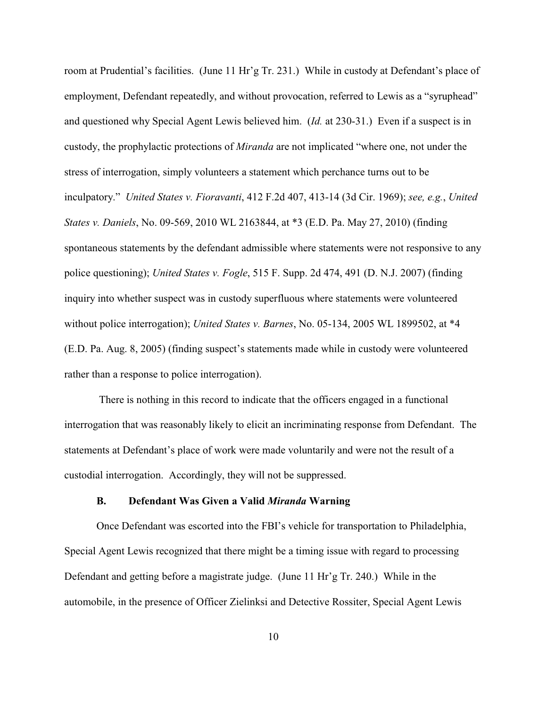room at Prudential's facilities. (June 11 Hr'g Tr. 231.) While in custody at Defendant's place of employment, Defendant repeatedly, and without provocation, referred to Lewis as a "syruphead" and questioned why Special Agent Lewis believed him. (*Id.* at 230-31.) Even if a suspect is in custody, the prophylactic protections of *Miranda* are not implicated "where one, not under the stress of interrogation, simply volunteers a statement which perchance turns out to be inculpatory." *United States v. Fioravanti*, 412 F.2d 407, 413-14 (3d Cir. 1969); *see, e.g.*, *United States v. Daniels*, No. 09-569, 2010 WL 2163844, at \*3 (E.D. Pa. May 27, 2010) (finding spontaneous statements by the defendant admissible where statements were not responsive to any police questioning); *United States v. Fogle*, 515 F. Supp. 2d 474, 491 (D. N.J. 2007) (finding inquiry into whether suspect was in custody superfluous where statements were volunteered without police interrogation); *United States v. Barnes*, No. 05-134, 2005 WL 1899502, at \*4 (E.D. Pa. Aug. 8, 2005) (finding suspect's statements made while in custody were volunteered rather than a response to police interrogation).

 There is nothing in this record to indicate that the officers engaged in a functional interrogation that was reasonably likely to elicit an incriminating response from Defendant. The statements at Defendant's place of work were made voluntarily and were not the result of a custodial interrogation. Accordingly, they will not be suppressed.

#### **B. Defendant Was Given a Valid** *Miranda* **Warning**

Once Defendant was escorted into the FBI's vehicle for transportation to Philadelphia, Special Agent Lewis recognized that there might be a timing issue with regard to processing Defendant and getting before a magistrate judge. (June 11 Hr'g Tr. 240.) While in the automobile, in the presence of Officer Zielinksi and Detective Rossiter, Special Agent Lewis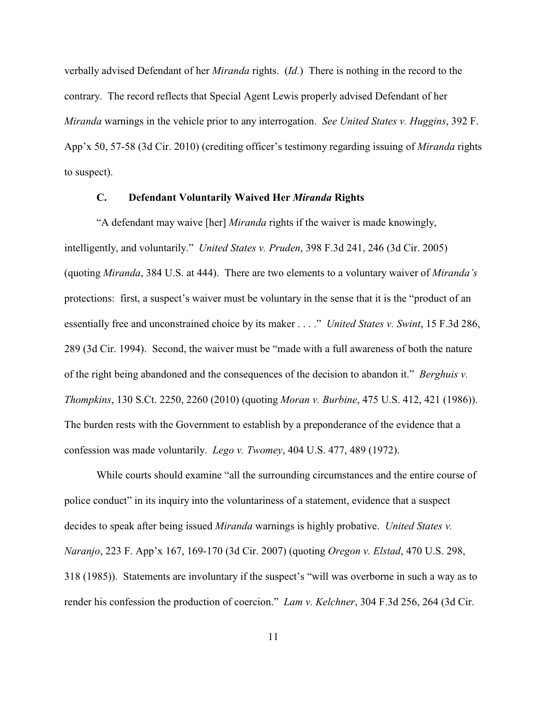verbally advised Defendant of her *Miranda* rights. (*Id.*) There is nothing in the record to the contrary. The record reflects that Special Agent Lewis properly advised Defendant of her *Miranda* warnings in the vehicle prior to any interrogation. *See United States v. Huggins*, 392 F. App'x 50, 57-58 (3d Cir. 2010) (crediting officer's testimony regarding issuing of *Miranda* rights to suspect).

# **C. Defendant Voluntarily Waived Her** *Miranda* **Rights**

"A defendant may waive [her] *Miranda* rights if the waiver is made knowingly, intelligently, and voluntarily." *United States v. Pruden*, 398 F.3d 241, 246 (3d Cir. 2005) (quoting *Miranda*, 384 U.S. at 444). There are two elements to a voluntary waiver of *Miranda's* protections: first, a suspect's waiver must be voluntary in the sense that it is the "product of an essentially free and unconstrained choice by its maker . . . ." *United States v. Swint*, 15 F.3d 286, 289 (3d Cir. 1994). Second, the waiver must be "made with a full awareness of both the nature of the right being abandoned and the consequences of the decision to abandon it." *Berghuis v. Thompkins*, 130 S.Ct. 2250, 2260 (2010) (quoting *Moran v. Burbine*, 475 U.S. 412, 421 (1986)). The burden rests with the Government to establish by a preponderance of the evidence that a confession was made voluntarily. *Lego v. Twomey*, 404 U.S. 477, 489 (1972).

While courts should examine "all the surrounding circumstances and the entire course of police conduct" in its inquiry into the voluntariness of a statement, evidence that a suspect decides to speak after being issued *Miranda* warnings is highly probative. *United States v. Naranjo*, 223 F. App'x 167, 169-170 (3d Cir. 2007) (quoting *Oregon v. Elstad*, 470 U.S. 298, 318 (1985)). Statements are involuntary if the suspect's "will was overborne in such a way as to render his confession the production of coercion." *Lam v. Kelchner*, 304 F.3d 256, 264 (3d Cir.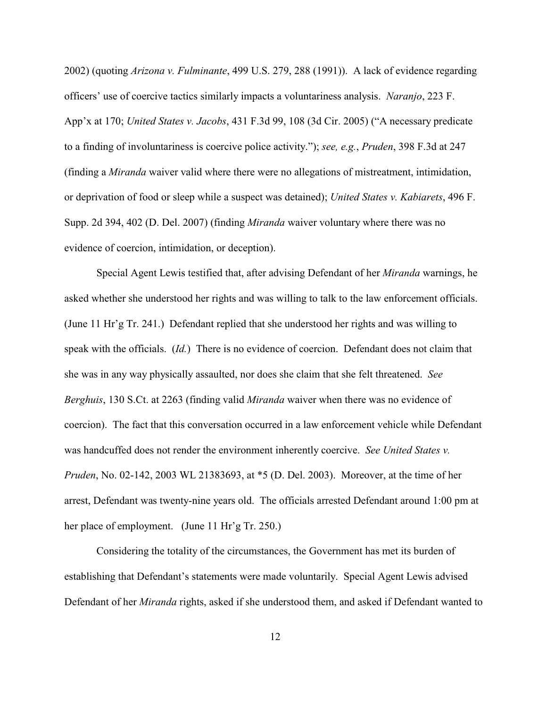2002) (quoting *Arizona v. Fulminante*, 499 U.S. 279, 288 (1991)). A lack of evidence regarding officers' use of coercive tactics similarly impacts a voluntariness analysis. *Naranjo*, 223 F. App'x at 170; *United States v. Jacobs*, 431 F.3d 99, 108 (3d Cir. 2005) ("A necessary predicate to a finding of involuntariness is coercive police activity."); *see, e.g.*, *Pruden*, 398 F.3d at 247 (finding a *Miranda* waiver valid where there were no allegations of mistreatment, intimidation, or deprivation of food or sleep while a suspect was detained); *United States v. Kabiarets*, 496 F. Supp. 2d 394, 402 (D. Del. 2007) (finding *Miranda* waiver voluntary where there was no evidence of coercion, intimidation, or deception).

Special Agent Lewis testified that, after advising Defendant of her *Miranda* warnings, he asked whether she understood her rights and was willing to talk to the law enforcement officials. (June 11 Hr'g Tr. 241.) Defendant replied that she understood her rights and was willing to speak with the officials. (*Id.*) There is no evidence of coercion. Defendant does not claim that she was in any way physically assaulted, nor does she claim that she felt threatened. *See Berghuis*, 130 S.Ct. at 2263 (finding valid *Miranda* waiver when there was no evidence of coercion). The fact that this conversation occurred in a law enforcement vehicle while Defendant was handcuffed does not render the environment inherently coercive. *See United States v. Pruden*, No. 02-142, 2003 WL 21383693, at \*5 (D. Del. 2003). Moreover, at the time of her arrest, Defendant was twenty-nine years old. The officials arrested Defendant around 1:00 pm at her place of employment. (June 11 Hr'g Tr. 250.)

Considering the totality of the circumstances, the Government has met its burden of establishing that Defendant's statements were made voluntarily. Special Agent Lewis advised Defendant of her *Miranda* rights, asked if she understood them, and asked if Defendant wanted to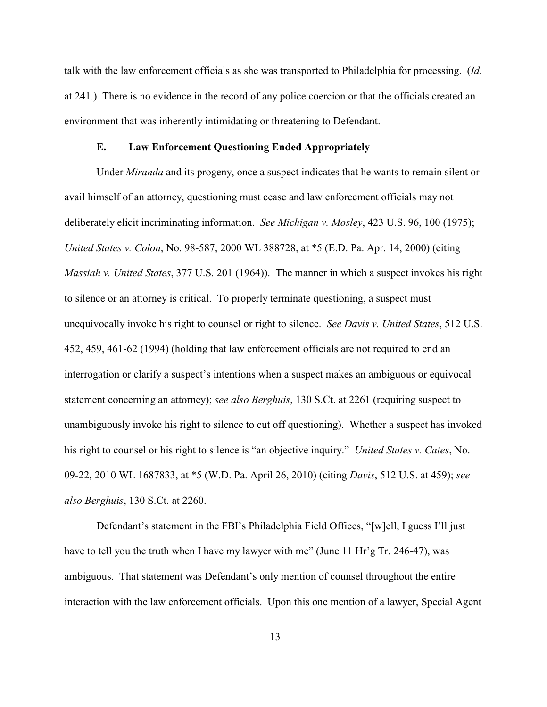talk with the law enforcement officials as she was transported to Philadelphia for processing. (*Id.* at 241.) There is no evidence in the record of any police coercion or that the officials created an environment that was inherently intimidating or threatening to Defendant.

#### **E. Law Enforcement Questioning Ended Appropriately**

Under *Miranda* and its progeny, once a suspect indicates that he wants to remain silent or avail himself of an attorney, questioning must cease and law enforcement officials may not deliberately elicit incriminating information. *See Michigan v. Mosley*, 423 U.S. 96, 100 (1975); *United States v. Colon*, No. 98-587, 2000 WL 388728, at \*5 (E.D. Pa. Apr. 14, 2000) (citing *Massiah v. United States*, 377 U.S. 201 (1964)). The manner in which a suspect invokes his right to silence or an attorney is critical. To properly terminate questioning, a suspect must unequivocally invoke his right to counsel or right to silence. *See Davis v. United States*, 512 U.S. 452, 459, 461-62 (1994) (holding that law enforcement officials are not required to end an interrogation or clarify a suspect's intentions when a suspect makes an ambiguous or equivocal statement concerning an attorney); *see also Berghuis*, 130 S.Ct. at 2261 (requiring suspect to unambiguously invoke his right to silence to cut off questioning). Whether a suspect has invoked his right to counsel or his right to silence is "an objective inquiry." *United States v. Cates*, No. 09-22, 2010 WL 1687833, at \*5 (W.D. Pa. April 26, 2010) (citing *Davis*, 512 U.S. at 459); *see also Berghuis*, 130 S.Ct. at 2260.

Defendant's statement in the FBI's Philadelphia Field Offices, "[w]ell, I guess I'll just have to tell you the truth when I have my lawyer with me" (June 11 Hr'g Tr. 246-47), was ambiguous. That statement was Defendant's only mention of counsel throughout the entire interaction with the law enforcement officials. Upon this one mention of a lawyer, Special Agent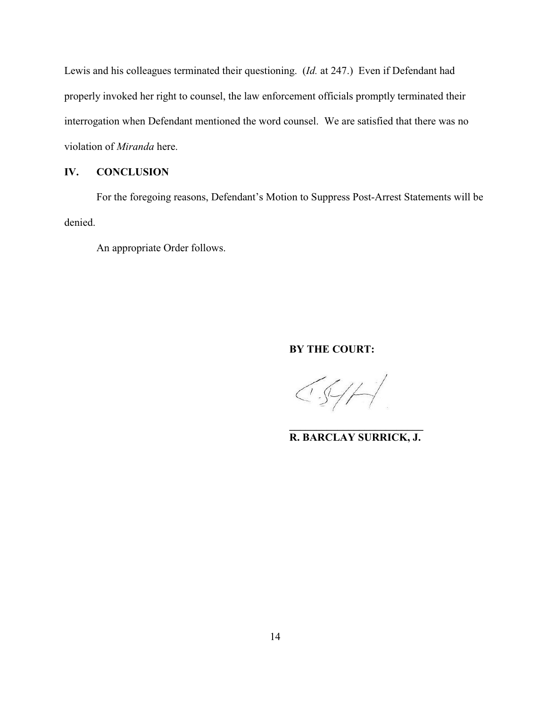Lewis and his colleagues terminated their questioning. (*Id.* at 247.) Even if Defendant had properly invoked her right to counsel, the law enforcement officials promptly terminated their interrogation when Defendant mentioned the word counsel. We are satisfied that there was no violation of *Miranda* here.

#### **IV. CONCLUSION**

For the foregoing reasons, Defendant's Motion to Suppress Post-Arrest Statements will be denied.

An appropriate Order follows.

## **BY THE COURT:**

 $\left(\sqrt{2}H\right)$ 

**\_\_\_\_\_\_\_\_\_\_\_\_\_\_\_\_\_\_\_\_\_\_\_\_\_ R. BARCLAY SURRICK, J.**